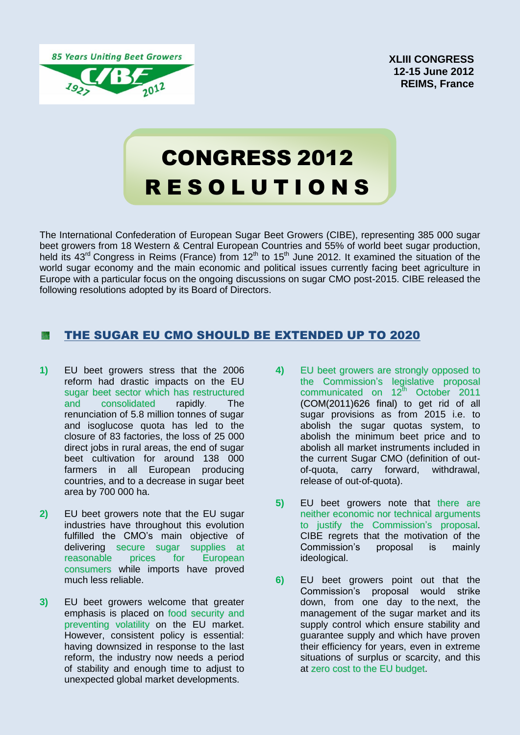**85 Years Uniting Beet Growers** 



**XLIII CONGRESS 12-15 June 2012 REIMS, France**

# CONGRESS 2012 R E S O L U T I O N S

The International Confederation of European Sugar Beet Growers (CIBE), representing 385 000 sugar beet growers from 18 Western & Central European Countries and 55% of world beet sugar production, held its 43<sup>rd</sup> Congress in Reims (France) from 12<sup>th</sup> to 15<sup>th</sup> June 2012. It examined the situation of the world sugar economy and the main economic and political issues currently facing beet agriculture in Europe with a particular focus on the ongoing discussions on sugar CMO post-2015. CIBE released the following resolutions adopted by its Board of Directors.

# THE SUGAR EU CMO SHOULD BE EXTENDED UP TO 2020 S.

- **1)** EU beet growers stress that the 2006 reform had drastic impacts on the EU sugar beet sector which has restructured and consolidated rapidly. The renunciation of 5.8 million tonnes of sugar and isoglucose quota has led to the closure of 83 factories, the loss of 25 000 direct jobs in rural areas, the end of sugar beet cultivation for around 138 000 farmers in all European producing countries, and to a decrease in sugar beet area by 700 000 ha.
- **2)** EU beet growers note that the EU sugar industries have throughout this evolution fulfilled the CMO's main objective of delivering secure sugar supplies at<br>reasonable prices for European reasonable prices for European consumers while imports have proved much less reliable.
- **3)** EU beet growers welcome that greater emphasis is placed on food security and preventing volatility on the EU market. However, consistent policy is essential: having downsized in response to the last reform, the industry now needs a period of stability and enough time to adjust to unexpected global market developments.
- **4)** EU beet growers are strongly opposed to the Commission's legislative proposal communicated on 12<sup>th</sup> October 2011 (COM(2011)626 final) to get rid of all sugar provisions as from 2015 i.e. to abolish the sugar quotas system, to abolish the minimum beet price and to abolish all market instruments included in the current Sugar CMO (definition of outof-quota, carry forward, withdrawal, release of out-of-quota).
- **5)** EU beet growers note that there are neither economic nor technical arguments to justify the Commission's proposal. CIBE regrets that the motivation of the Commission's proposal is mainly ideological.
- **6)** EU beet growers point out that the Commission's proposal would strike down, from one day to the next, the management of the sugar market and its supply control which ensure stability and guarantee supply and which have proven their efficiency for years, even in extreme situations of surplus or scarcity, and this at zero cost to the EU budget.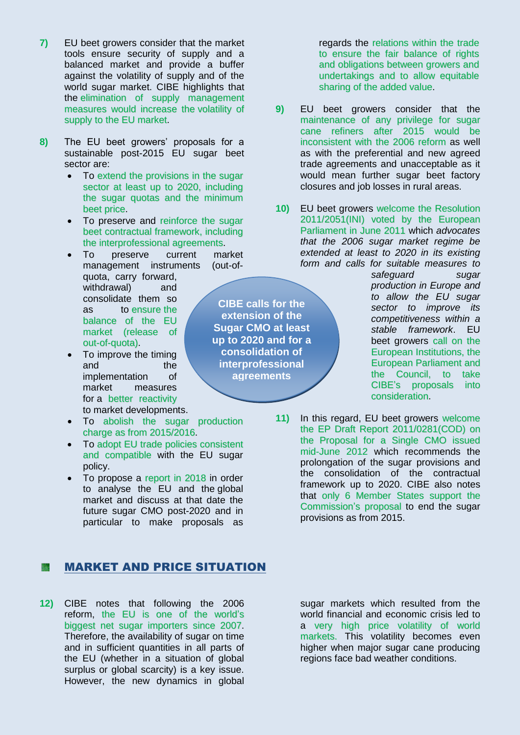- **7)** EU beet growers consider that the market tools ensure security of supply and a balanced market and provide a buffer against the volatility of supply and of the world sugar market. CIBE highlights that the elimination of supply management measures would increase the volatility of supply to the EU market.
- **8)** The EU beet growers' proposals for a sustainable post-2015 EU sugar beet sector are:
	- To extend the provisions in the sugar sector at least up to 2020, including the sugar quotas and the minimum beet price.
	- To preserve and reinforce the sugar beet contractual framework, including the interprofessional agreements.
	- To preserve current market management instruments (out-ofquota, carry forward, withdrawal) and consolidate them so as to ensure the balance of the EU market (release of out-of-quota).
	- To improve the timing and the implementation of market measures for a better reactivity to market developments.
	- To abolish the sugar production charge as from 2015/2016.
	- To adopt EU trade policies consistent and compatible with the EU sugar policy.
	- To propose a report in 2018 in order to analyse the EU and the global market and discuss at that date the future sugar CMO post-2020 and in particular to make proposals as

# **Co** MARKET AND PRICE SITUATION

**12)** CIBE notes that following the 2006 reform, the EU is one of the world's biggest net sugar importers since 2007. Therefore, the availability of sugar on time and in sufficient quantities in all parts of the EU (whether in a situation of global surplus or global scarcity) is a key issue. However, the new dynamics in global

sugar markets which resulted from the world financial and economic crisis led to a very high price volatility of world markets. This volatility becomes even higher when major sugar cane producing regions face bad weather conditions.

**CIBE calls for the extension of the Sugar CMO at least up to 2020 and for a consolidation of interprofessional agreements**

regards the relations within the trade to ensure the fair balance of rights and obligations between growers and undertakings and to allow equitable sharing of the added value.

- **9)** EU beet growers consider that the maintenance of any privilege for sugar cane refiners after 2015 would be inconsistent with the 2006 reform as well as with the preferential and new agreed trade agreements and unacceptable as it would mean further sugar beet factory closures and job losses in rural areas.
- **10)** EU beet growers welcome the Resolution 2011/2051(INI) voted by the European Parliament in June 2011 which *advocates that the 2006 sugar market regime be extended at least to 2020 in its existing form and calls for suitable measures to*

*safeguard sugar production in Europe and to allow the EU sugar sector to improve its competitiveness within a stable framework*. EU beet growers call on the European Institutions, the European Parliament and the Council, to take CIBE's proposals into consideration.

**11)** In this regard, EU beet growers welcome the EP Draft Report 2011/0281(COD) on the Proposal for a Single CMO issued mid-June 2012 which recommends the prolongation of the sugar provisions and the consolidation of the contractual framework up to 2020. CIBE also notes that only 6 Member States support the Commission's proposal to end the sugar provisions as from 2015.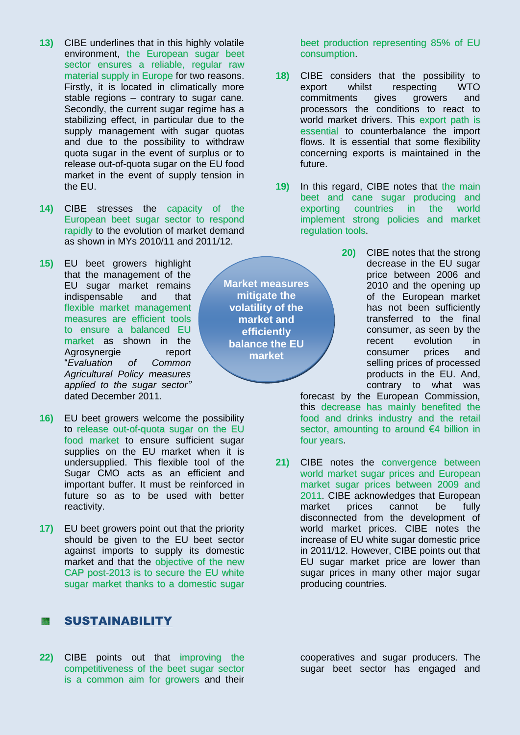- **13)** CIBE underlines that in this highly volatile environment, the European sugar beet sector ensures a reliable, regular raw material supply in Europe for two reasons. Firstly, it is located in climatically more stable regions – contrary to sugar cane. Secondly, the current sugar regime has a stabilizing effect, in particular due to the supply management with sugar quotas and due to the possibility to withdraw quota sugar in the event of surplus or to release out-of-quota sugar on the EU food market in the event of supply tension in the EU.
- **14)** CIBE stresses the capacity of the European beet sugar sector to respond rapidly to the evolution of market demand as shown in MYs 2010/11 and 2011/12.
- **15)** EU beet growers highlight that the management of the EU sugar market remains indispensable and that flexible market management measures are efficient tools to ensure a balanced EU market as shown in the Agrosynergie report "*Evaluation of Common Agricultural Policy measures applied to the sugar sector"* dated December 2011.
- **16)** EU beet growers welcome the possibility to release out-of-quota sugar on the EU food market to ensure sufficient sugar supplies on the EU market when it is undersupplied. This flexible tool of the Sugar CMO acts as an efficient and important buffer. It must be reinforced in future so as to be used with better reactivity.
- **17)** EU beet growers point out that the priority should be given to the EU beet sector against imports to supply its domestic market and that the objective of the new CAP post-2013 is to secure the EU white sugar market thanks to a domestic sugar

### SUSTAINABILITY **Control**

**22)** CIBE points out that improving the competitiveness of the beet sugar sector is a common aim for growers and their

beet production representing 85% of EU consumption.

- **18)** CIBE considers that the possibility to export whilst respecting WTO commitments gives growers and processors the conditions to react to world market drivers. This export path is essential to counterbalance the import flows. It is essential that some flexibility concerning exports is maintained in the future.
- **19)** In this regard, CIBE notes that the main beet and cane sugar producing and exporting countries in the world implement strong policies and market regulation tools.
	- **20)** CIBE notes that the strong decrease in the EU sugar price between 2006 and 2010 and the opening up of the European market has not been sufficiently transferred to the final consumer, as seen by the recent evolution in consumer prices and selling prices of processed products in the EU. And, contrary to what was

forecast by the European Commission, this decrease has mainly benefited the food and drinks industry and the retail sector, amounting to around €4 billion in four years.

**21)** CIBE notes the convergence between world market sugar prices and European market sugar prices between 2009 and 2011. CIBE acknowledges that European market prices cannot be fully disconnected from the development of world market prices. CIBE notes the increase of EU white sugar domestic price in 2011/12. However, CIBE points out that EU sugar market price are lower than sugar prices in many other major sugar producing countries.

> cooperatives and sugar producers. The sugar beet sector has engaged and

**Market measures mitigate the volatility of the market and efficiently balance the EU market**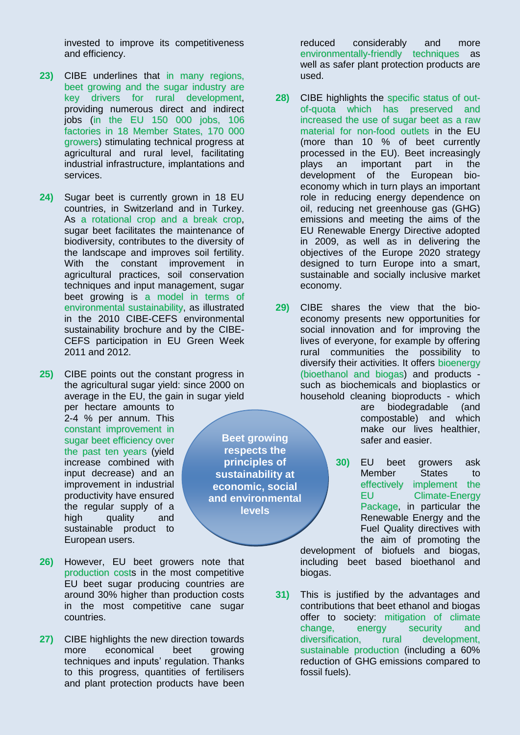invested to improve its competitiveness and efficiency.

- **23)** CIBE underlines that in many regions, beet growing and the sugar industry are key drivers for rural development, providing numerous direct and indirect jobs (in the EU 150 000 jobs, 106 factories in 18 Member States, 170 000 growers) stimulating technical progress at agricultural and rural level, facilitating industrial infrastructure, implantations and services.
- **24)** Sugar beet is currently grown in 18 EU countries, in Switzerland and in Turkey. As a rotational crop and a break crop, sugar beet facilitates the maintenance of biodiversity, contributes to the diversity of the landscape and improves soil fertility. With the constant improvement in agricultural practices, soil conservation techniques and input management, sugar beet growing is a model in terms of environmental sustainability, as illustrated in the 2010 CIBE-CEFS environmental sustainability brochure and by the CIBE-CEFS participation in EU Green Week 2011 and 2012.
- **25)** CIBE points out the constant progress in the agricultural sugar yield: since 2000 on average in the EU, the gain in sugar yield

per hectare amounts to 2-4 % per annum. This constant improvement in sugar beet efficiency over the past ten years (yield increase combined with input decrease) and an improvement in industrial productivity have ensured the regular supply of a high quality and sustainable product to European users.

**Beet growing respects the principles of sustainability at economic, social and environmental levels**

- **26)** However, EU beet growers note that production costs in the most competitive EU beet sugar producing countries are around 30% higher than production costs in the most competitive cane sugar countries.
- **27)** CIBE highlights the new direction towards more economical beet growing techniques and inputs' regulation. Thanks to this progress, quantities of fertilisers and plant protection products have been

reduced considerably and more environmentally-friendly techniques as well as safer plant protection products are used.

- **28)** CIBE highlights the specific status of outof-quota which has preserved and increased the use of sugar beet as a raw material for non-food outlets in the EU (more than 10 % of beet currently processed in the EU). Beet increasingly plays an important part in the development of the European bioeconomy which in turn plays an important role in reducing energy dependence on oil, reducing net greenhouse gas (GHG) emissions and meeting the aims of the EU Renewable Energy Directive adopted in 2009, as well as in delivering the objectives of the Europe 2020 strategy designed to turn Europe into a smart, sustainable and socially inclusive market economy.
- **29)** CIBE shares the view that the bioeconomy presents new opportunities for social innovation and for improving the lives of everyone, for example by offering rural communities the possibility to diversify their activities. It offers bioenergy (bioethanol and biogas) and products such as biochemicals and bioplastics or household cleaning bioproducts - which
	- are biodegradable (and compostable) and which make our lives healthier, safer and easier.
	- **30)** EU beet growers ask Member States to effectively implement the EU Climate-Energy Package, in particular the Renewable Energy and the Fuel Quality directives with the aim of promoting the

development of biofuels and biogas, including beet based bioethanol and biogas.

**31)** This is justified by the advantages and contributions that beet ethanol and biogas offer to society: mitigation of climate change, energy security and diversification, rural development, sustainable production (including a 60% reduction of GHG emissions compared to fossil fuels).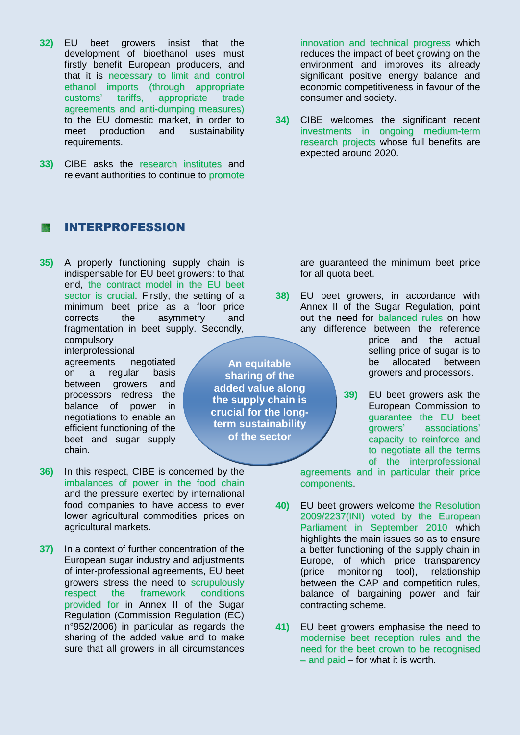- **32)** EU beet growers insist that the development of bioethanol uses must firstly benefit European producers, and that it is necessary to limit and control ethanol imports (through appropriate customs' tariffs, appropriate trade agreements and anti-dumping measures) to the EU domestic market, in order to meet production and sustainability requirements.
- **33)** CIBE asks the research institutes and relevant authorities to continue to promote

# INTERPROFESSION C.

**35)** A properly functioning supply chain is indispensable for EU beet growers: to that end, the contract model in the EU beet sector is crucial. Firstly, the setting of a minimum beet price as a floor price corrects the asymmetry and fragmentation in beet supply. Secondly, compulsory

> interprofessional agreements negotiated on a regular basis between growers and processors redress the balance of power in negotiations to enable an efficient functioning of the beet and sugar supply chain.

- **36)** In this respect, CIBE is concerned by the imbalances of power in the food chain and the pressure exerted by international food companies to have access to ever lower agricultural commodities' prices on agricultural markets.
- **37)** In a context of further concentration of the European sugar industry and adjustments of inter-professional agreements, EU beet growers stress the need to scrupulously respect the framework conditions provided for in Annex II of the Sugar Regulation (Commission Regulation (EC) n°952/2006) in particular as regards the sharing of the added value and to make sure that all growers in all circumstances

**An equitable sharing of the added value along the supply chain is crucial for the longterm sustainability of the sector** 

innovation and technical progress which reduces the impact of beet growing on the environment and improves its already significant positive energy balance and economic competitiveness in favour of the consumer and society.

**34)** CIBE welcomes the significant recent investments in ongoing medium-term research projects whose full benefits are expected around 2020.

> are guaranteed the minimum beet price for all quota beet.

**38)** EU beet growers, in accordance with Annex II of the Sugar Regulation, point out the need for balanced rules on how any difference between the reference

price and the actual selling price of sugar is to be allocated between growers and processors.

**39)** EU beet growers ask the European Commission to guarantee the EU beet growers' associations' capacity to reinforce and to negotiate all the terms of the interprofessional

agreements and in particular their price components.

- **40)** EU beet growers welcome the Resolution 2009/2237(INI) voted by the European Parliament in September 2010 which highlights the main issues so as to ensure a better functioning of the supply chain in Europe, of which price transparency<br>(price monitoring tool), relationship (price monitoring tool), relationship between the CAP and competition rules, balance of bargaining power and fair contracting scheme.
- **41)** EU beet growers emphasise the need to modernise beet reception rules and the need for the beet crown to be recognised – and paid – for what it is worth.